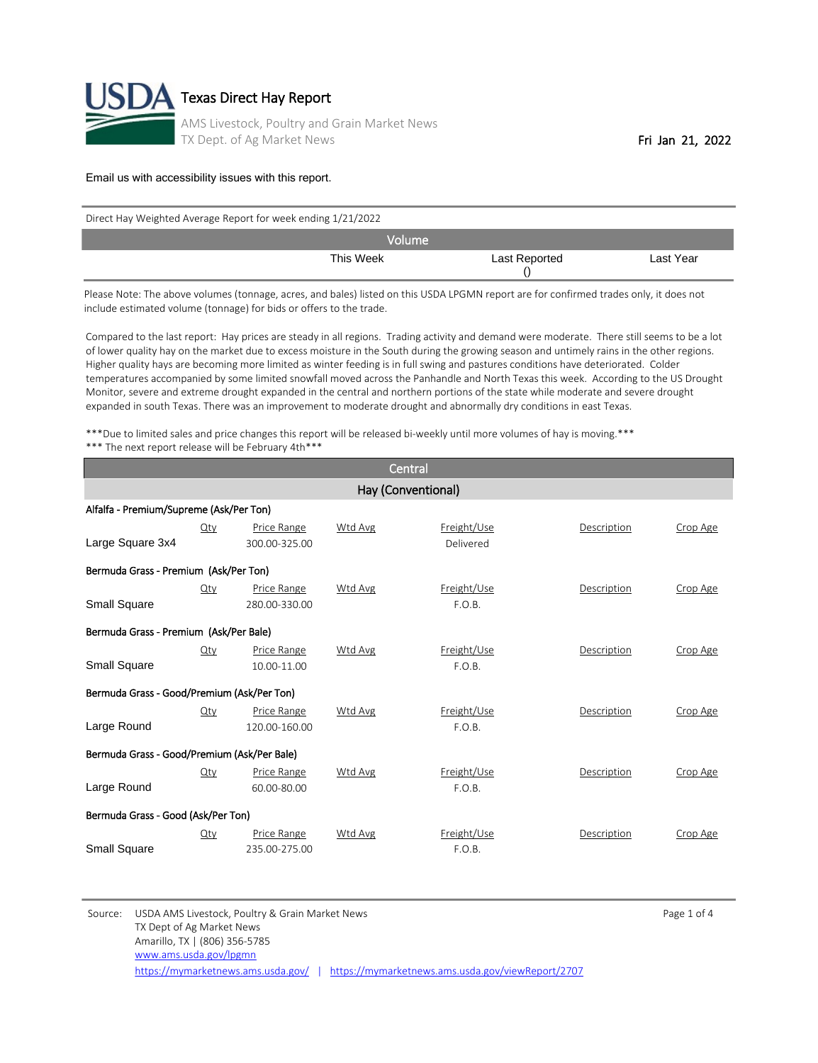

| Direct Hay Weighted Average Report for week ending 1/21/2022 |  |               |           |  |  |  |
|--------------------------------------------------------------|--|---------------|-----------|--|--|--|
| <b>Nolume</b>                                                |  |               |           |  |  |  |
| This Week                                                    |  | Last Reported | Last Year |  |  |  |

Please Note: The above volumes (tonnage, acres, and bales) listed on this USDA LPGMN report are for confirmed trades only, it does not include estimated volume (tonnage) for bids or offers to the trade.

Compared to the last report: Hay prices are steady in all regions. Trading activity and demand were moderate. There still seems to be a lot of lower quality hay on the market due to excess moisture in the South during the growing season and untimely rains in the other regions. Higher quality hays are becoming more limited as winter feeding is in full swing and pastures conditions have deteriorated. Colder temperatures accompanied by some limited snowfall moved across the Panhandle and North Texas this week. According to the US Drought Monitor, severe and extreme drought expanded in the central and northern portions of the state while moderate and severe drought expanded in south Texas. There was an improvement to moderate drought and abnormally dry conditions in east Texas.

\*\*\*Due to limited sales and price changes this report will be released bi-weekly until more volumes of hay is moving.\*\*\* \*\*\* The next report release will be February 4th\*\*\*

| Central                                     |        |                              |                    |                          |             |          |  |
|---------------------------------------------|--------|------------------------------|--------------------|--------------------------|-------------|----------|--|
|                                             |        |                              | Hay (Conventional) |                          |             |          |  |
| Alfalfa - Premium/Supreme (Ask/Per Ton)     |        |                              |                    |                          |             |          |  |
| Large Square 3x4                            | $Q$ ty | Price Range<br>300.00-325.00 | Wtd Avg            | Freight/Use<br>Delivered | Description | Crop Age |  |
| Bermuda Grass - Premium (Ask/Per Ton)       |        |                              |                    |                          |             |          |  |
| Small Square                                | Qty    | Price Range<br>280.00-330.00 | Wtd Avg            | Freight/Use<br>F.O.B.    | Description | Crop Age |  |
| Bermuda Grass - Premium (Ask/Per Bale)      |        |                              |                    |                          |             |          |  |
| Small Square                                | Qty    | Price Range<br>10.00-11.00   | Wtd Avg            | Freight/Use<br>F.O.B.    | Description | Crop Age |  |
| Bermuda Grass - Good/Premium (Ask/Per Ton)  |        |                              |                    |                          |             |          |  |
| Large Round                                 | Qty    | Price Range<br>120.00-160.00 | Wtd Avg            | Freight/Use<br>F.O.B.    | Description | Crop Age |  |
| Bermuda Grass - Good/Premium (Ask/Per Bale) |        |                              |                    |                          |             |          |  |
| Large Round                                 | Qty    | Price Range<br>60.00-80.00   | Wtd Avg            | Freight/Use<br>F.O.B.    | Description | Crop Age |  |
| Bermuda Grass - Good (Ask/Per Ton)          |        |                              |                    |                          |             |          |  |
| Small Square                                | $Q$ ty | Price Range<br>235.00-275.00 | Wtd Avg            | Freight/Use<br>F.O.B.    | Description | Crop Age |  |

Source: USDA AMS Livestock, Poultry & Grain Market News Page 1 of 4 TX Dept of Ag Market News Amarillo, TX | (806) 356-5785 <https://mymarketnews.ams.usda.gov/> | <https://mymarketnews.ams.usda.gov/viewReport/2707> [www.ams.usda.gov/lpgmn](http://www.ams.usda.gov/lpgmn)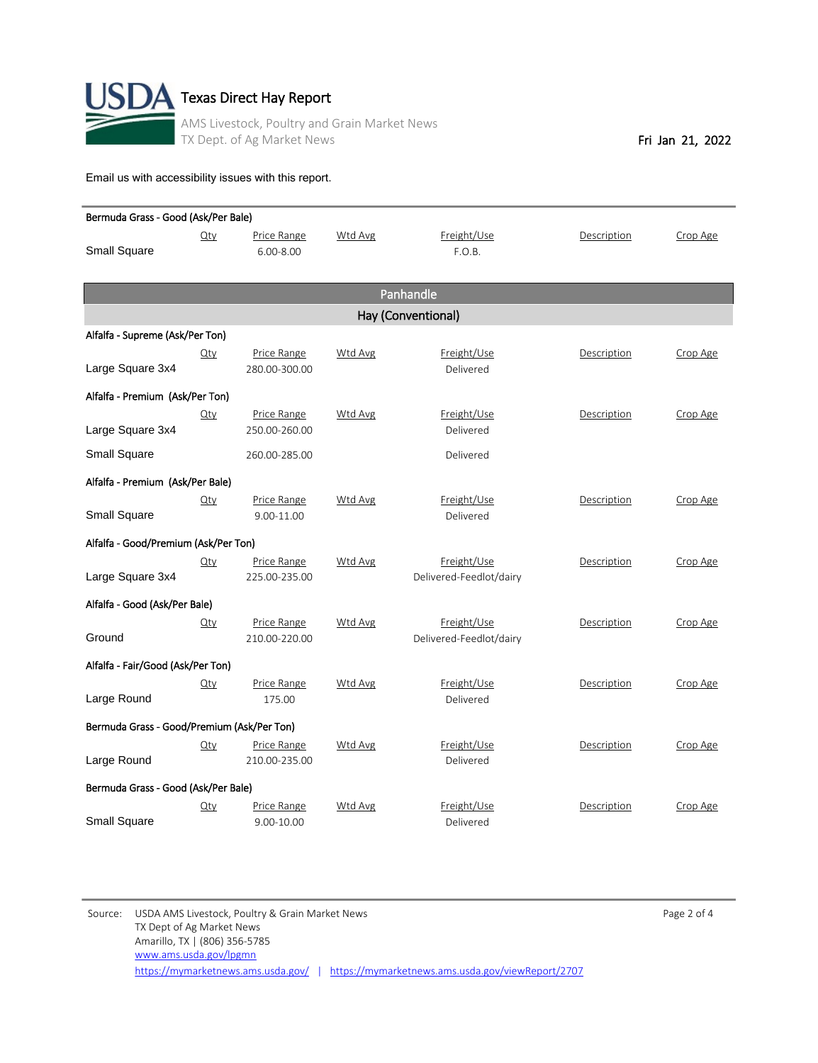

| Bermuda Grass - Good (Ask/Per Bale)        |        |               |         |                         |             |          |  |
|--------------------------------------------|--------|---------------|---------|-------------------------|-------------|----------|--|
|                                            | Qty    | Price Range   | Wtd Avg | Freight/Use             | Description | Crop Age |  |
| <b>Small Square</b>                        |        | $6.00 - 8.00$ |         | F.O.B.                  |             |          |  |
|                                            |        |               |         |                         |             |          |  |
|                                            |        |               |         | Panhandle               |             |          |  |
|                                            |        |               |         | Hay (Conventional)      |             |          |  |
| Alfalfa - Supreme (Ask/Per Ton)            |        |               |         |                         |             |          |  |
|                                            | $Q$ ty | Price Range   | Wtd Avg | Freight/Use             | Description | Crop Age |  |
| Large Square 3x4                           |        | 280.00-300.00 |         | Delivered               |             |          |  |
| Alfalfa - Premium (Ask/Per Ton)            |        |               |         |                         |             |          |  |
|                                            | $Q$ ty | Price Range   | Wtd Avg | Freight/Use             | Description | Crop Age |  |
| Large Square 3x4                           |        | 250.00-260.00 |         | Delivered               |             |          |  |
| <b>Small Square</b>                        |        | 260.00-285.00 |         | Delivered               |             |          |  |
| Alfalfa - Premium (Ask/Per Bale)           |        |               |         |                         |             |          |  |
|                                            | $Q$ ty | Price Range   | Wtd Avg | Freight/Use             | Description | Crop Age |  |
| <b>Small Square</b>                        |        | 9.00-11.00    |         | Delivered               |             |          |  |
| Alfalfa - Good/Premium (Ask/Per Ton)       |        |               |         |                         |             |          |  |
|                                            | $Q$ ty | Price Range   | Wtd Avg | Freight/Use             | Description | Crop Age |  |
| Large Square 3x4                           |        | 225.00-235.00 |         | Delivered-Feedlot/dairy |             |          |  |
| Alfalfa - Good (Ask/Per Bale)              |        |               |         |                         |             |          |  |
|                                            | $Q$ ty | Price Range   | Wtd Avg | Freight/Use             | Description | Crop Age |  |
| Ground                                     |        | 210.00-220.00 |         | Delivered-Feedlot/dairy |             |          |  |
| Alfalfa - Fair/Good (Ask/Per Ton)          |        |               |         |                         |             |          |  |
|                                            | $Q$ ty | Price Range   | Wtd Avg | Freight/Use             | Description | Crop Age |  |
| Large Round                                |        | 175.00        |         | Delivered               |             |          |  |
| Bermuda Grass - Good/Premium (Ask/Per Ton) |        |               |         |                         |             |          |  |
|                                            | $Q$ ty | Price Range   | Wtd Avg | Freight/Use             | Description | Crop Age |  |
| Large Round                                |        | 210.00-235.00 |         | Delivered               |             |          |  |
| Bermuda Grass - Good (Ask/Per Bale)        |        |               |         |                         |             |          |  |
|                                            | $Q$ ty | Price Range   | Wtd Avg | Freight/Use             | Description | Crop Age |  |
| <b>Small Square</b>                        |        | 9.00-10.00    |         | Delivered               |             |          |  |

Source: USDA AMS Livestock, Poultry & Grain Market News and the extendion of the Page 2 of 4 TX Dept of Ag Market News Amarillo, TX | (806) 356-5785 <https://mymarketnews.ams.usda.gov/> | <https://mymarketnews.ams.usda.gov/viewReport/2707> [www.ams.usda.gov/lpgmn](http://www.ams.usda.gov/lpgmn)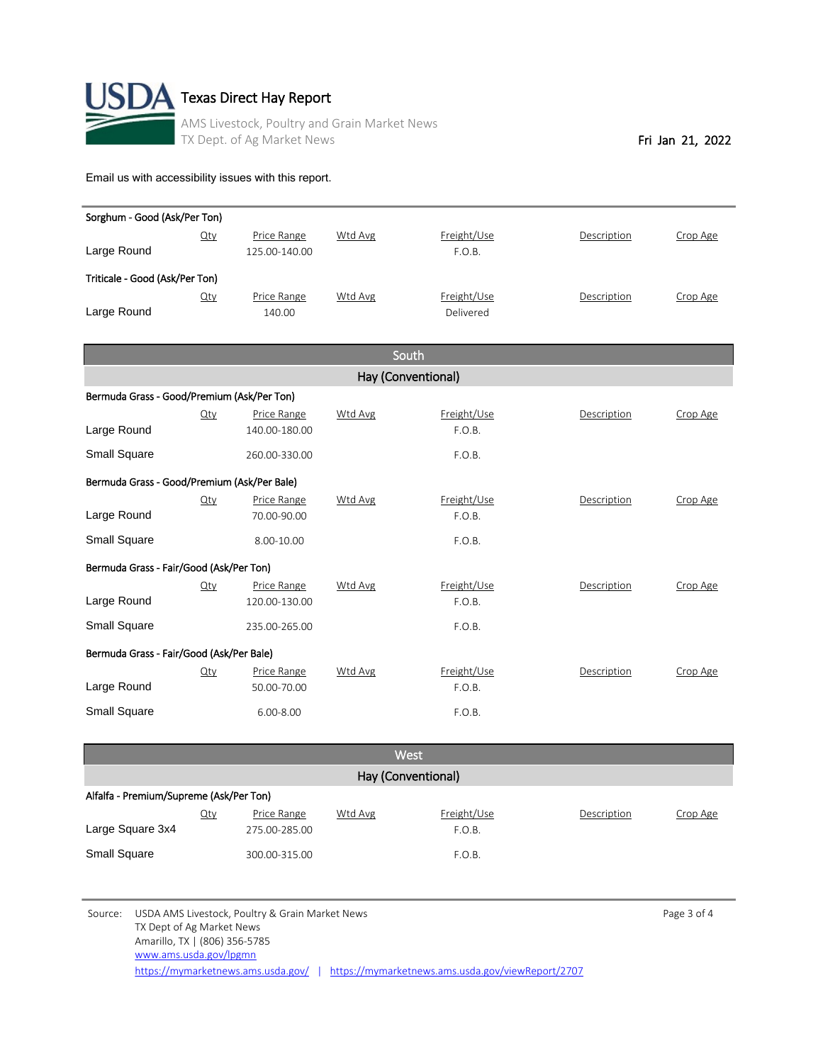

| Sorghum - Good (Ask/Per Ton)                |        |               |         |                    |             |          |  |  |
|---------------------------------------------|--------|---------------|---------|--------------------|-------------|----------|--|--|
|                                             | $Q$ ty | Price Range   | Wtd Avg | Freight/Use        | Description | Crop Age |  |  |
| Large Round                                 |        | 125.00-140.00 |         | F.O.B.             |             |          |  |  |
| Triticale - Good (Ask/Per Ton)              |        |               |         |                    |             |          |  |  |
|                                             | $Q$ ty | Price Range   | Wtd Avg | Freight/Use        | Description | Crop Age |  |  |
| Large Round                                 |        | 140.00        |         | Delivered          |             |          |  |  |
|                                             |        |               |         |                    |             |          |  |  |
|                                             |        |               |         | South              |             |          |  |  |
|                                             |        |               |         | Hay (Conventional) |             |          |  |  |
| Bermuda Grass - Good/Premium (Ask/Per Ton)  |        |               |         |                    |             |          |  |  |
|                                             | Qty    | Price Range   | Wtd Avg | Freight/Use        | Description | Crop Age |  |  |
| Large Round                                 |        | 140.00-180.00 |         | F.O.B.             |             |          |  |  |
| Small Square                                |        | 260.00-330.00 |         | F.O.B.             |             |          |  |  |
| Bermuda Grass - Good/Premium (Ask/Per Bale) |        |               |         |                    |             |          |  |  |
|                                             | $Q$ ty | Price Range   | Wtd Avg | Freight/Use        | Description | Crop Age |  |  |
| Large Round                                 |        | 70.00-90.00   |         | F.O.B.             |             |          |  |  |
| <b>Small Square</b>                         |        | 8.00-10.00    |         | F.O.B.             |             |          |  |  |
|                                             |        |               |         |                    |             |          |  |  |
| Bermuda Grass - Fair/Good (Ask/Per Ton)     |        | Price Range   | Wtd Avg | Freight/Use        | Description | Crop Age |  |  |
| Large Round                                 | $Q$ ty | 120.00-130.00 |         | F.O.B.             |             |          |  |  |
| Small Square                                |        |               |         |                    |             |          |  |  |
|                                             |        | 235.00-265.00 |         | F.O.B.             |             |          |  |  |
| Bermuda Grass - Fair/Good (Ask/Per Bale)    |        |               |         |                    |             |          |  |  |
|                                             | Qty    | Price Range   | Wtd Avg | Freight/Use        | Description | Crop Age |  |  |
| Large Round                                 |        | 50.00-70.00   |         | F.O.B.             |             |          |  |  |
| <b>Small Square</b>                         |        | $6.00 - 8.00$ |         | F.O.B.             |             |          |  |  |
|                                             |        |               |         |                    |             |          |  |  |
|                                             |        |               |         |                    |             |          |  |  |

| West                                    |     |                              |         |                       |             |          |  |  |
|-----------------------------------------|-----|------------------------------|---------|-----------------------|-------------|----------|--|--|
| Hay (Conventional)                      |     |                              |         |                       |             |          |  |  |
| Alfalfa - Premium/Supreme (Ask/Per Ton) |     |                              |         |                       |             |          |  |  |
| Large Square 3x4                        | Qty | Price Range<br>275.00-285.00 | Wtd Avg | Freight/Use<br>F.O.B. | Description | Crop Age |  |  |
| <b>Small Square</b>                     |     | 300.00-315.00                |         | F.O.B.                |             |          |  |  |

Source: USDA AMS Livestock, Poultry & Grain Market News and the extendion of the Page 3 of 4 TX Dept of Ag Market News Amarillo, TX | (806) 356-5785 <https://mymarketnews.ams.usda.gov/> | <https://mymarketnews.ams.usda.gov/viewReport/2707> [www.ams.usda.gov/lpgmn](http://www.ams.usda.gov/lpgmn)